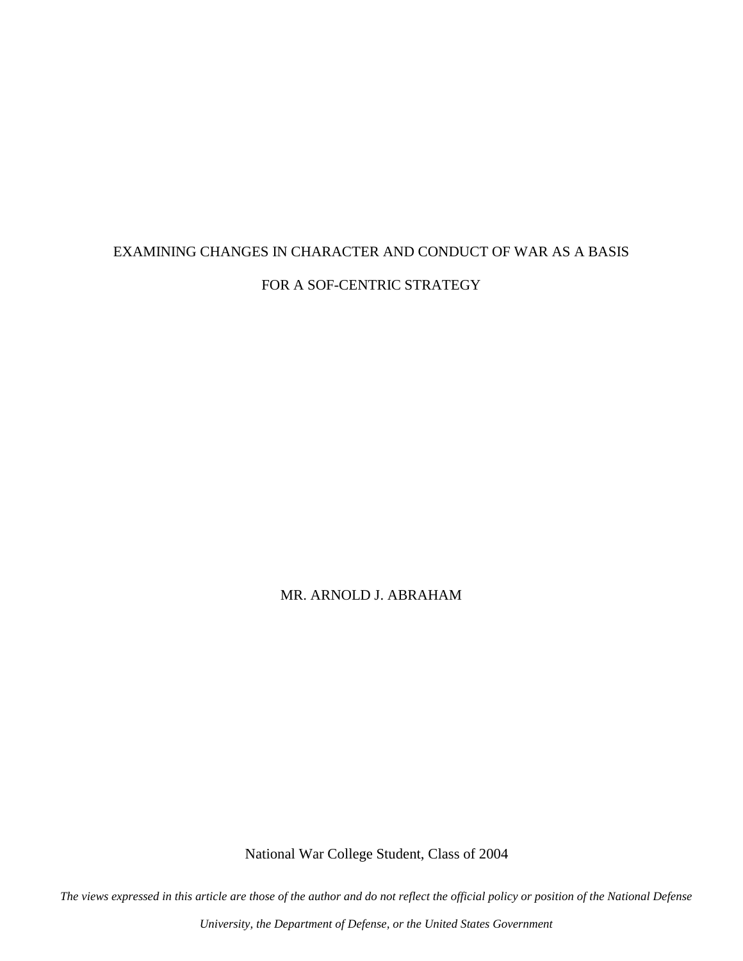# EXAMINING CHANGES IN CHARACTER AND CONDUCT OF WAR AS A BASIS FOR A SOF-CENTRIC STRATEGY

MR. ARNOLD J. ABRAHAM

National War College Student, Class of 2004

*The views expressed in this article are those of the author and do not reflect the official policy or position of the National Defense* 

*University, the Department of Defense, or the United States Government*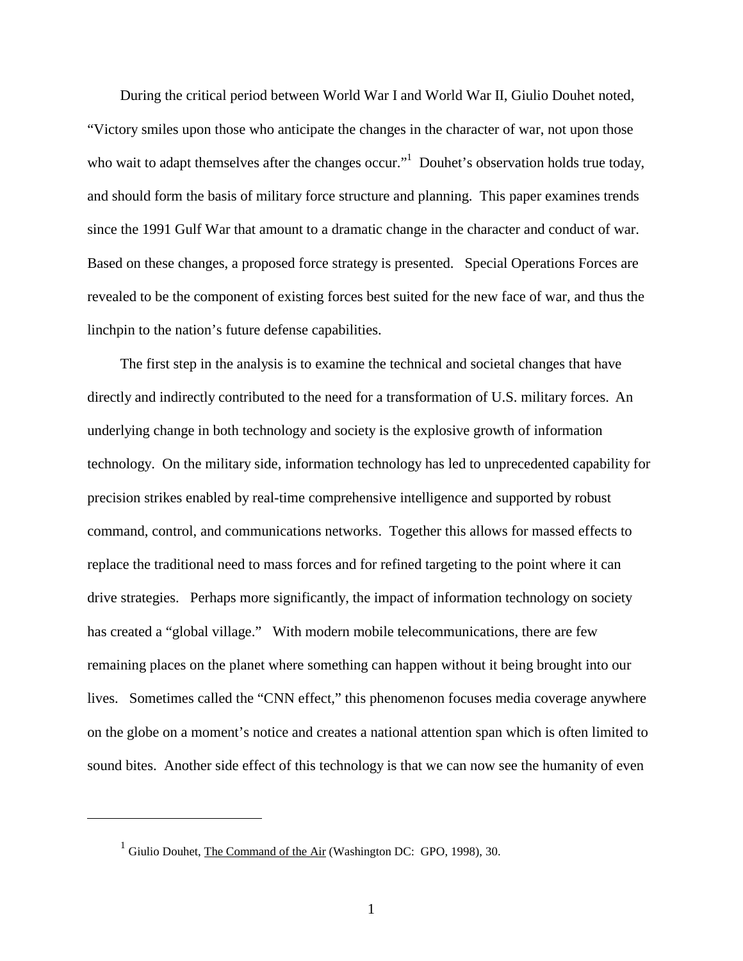During the critical period between World War I and World War II, Giulio Douhet noted, "Victory smiles upon those who anticipate the changes in the character of war, not upon those who wait to adapt themselves after the changes occur."<sup>1</sup> Douhet's observation holds true today, and should form the basis of military force structure and planning. This paper examines trends since the 1991 Gulf War that amount to a dramatic change in the character and conduct of war. Based on these changes, a proposed force strategy is presented. Special Operations Forces are revealed to be the component of existing forces best suited for the new face of war, and thus the linchpin to the nation's future defense capabilities.

 The first step in the analysis is to examine the technical and societal changes that have directly and indirectly contributed to the need for a transformation of U.S. military forces. An underlying change in both technology and society is the explosive growth of information technology. On the military side, information technology has led to unprecedented capability for precision strikes enabled by real-time comprehensive intelligence and supported by robust command, control, and communications networks. Together this allows for massed effects to replace the traditional need to mass forces and for refined targeting to the point where it can drive strategies. Perhaps more significantly, the impact of information technology on society has created a "global village." With modern mobile telecommunications, there are few remaining places on the planet where something can happen without it being brought into our lives. Sometimes called the "CNN effect," this phenomenon focuses media coverage anywhere on the globe on a moment's notice and creates a national attention span which is often limited to sound bites. Another side effect of this technology is that we can now see the humanity of even

1

<sup>&</sup>lt;sup>1</sup> Giulio Douhet, The Command of the Air (Washington DC: GPO, 1998), 30.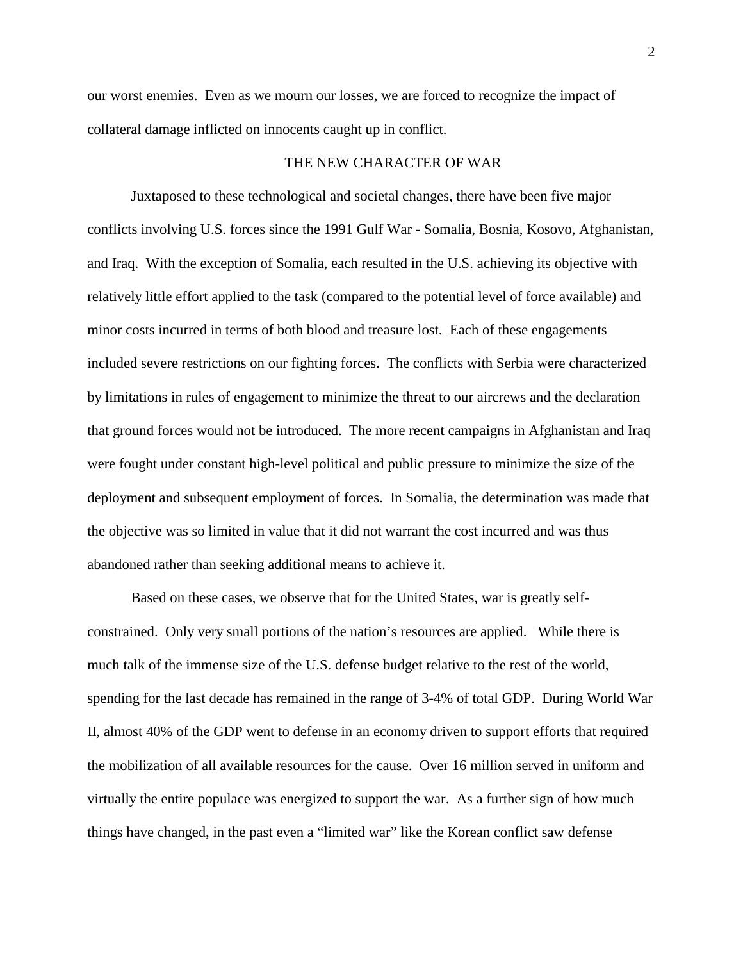our worst enemies. Even as we mourn our losses, we are forced to recognize the impact of collateral damage inflicted on innocents caught up in conflict.

## THE NEW CHARACTER OF WAR

Juxtaposed to these technological and societal changes, there have been five major conflicts involving U.S. forces since the 1991 Gulf War - Somalia, Bosnia, Kosovo, Afghanistan, and Iraq. With the exception of Somalia, each resulted in the U.S. achieving its objective with relatively little effort applied to the task (compared to the potential level of force available) and minor costs incurred in terms of both blood and treasure lost. Each of these engagements included severe restrictions on our fighting forces. The conflicts with Serbia were characterized by limitations in rules of engagement to minimize the threat to our aircrews and the declaration that ground forces would not be introduced. The more recent campaigns in Afghanistan and Iraq were fought under constant high-level political and public pressure to minimize the size of the deployment and subsequent employment of forces. In Somalia, the determination was made that the objective was so limited in value that it did not warrant the cost incurred and was thus abandoned rather than seeking additional means to achieve it.

Based on these cases, we observe that for the United States, war is greatly selfconstrained. Only very small portions of the nation's resources are applied. While there is much talk of the immense size of the U.S. defense budget relative to the rest of the world, spending for the last decade has remained in the range of 3-4% of total GDP. During World War II, almost 40% of the GDP went to defense in an economy driven to support efforts that required the mobilization of all available resources for the cause. Over 16 million served in uniform and virtually the entire populace was energized to support the war. As a further sign of how much things have changed, in the past even a "limited war" like the Korean conflict saw defense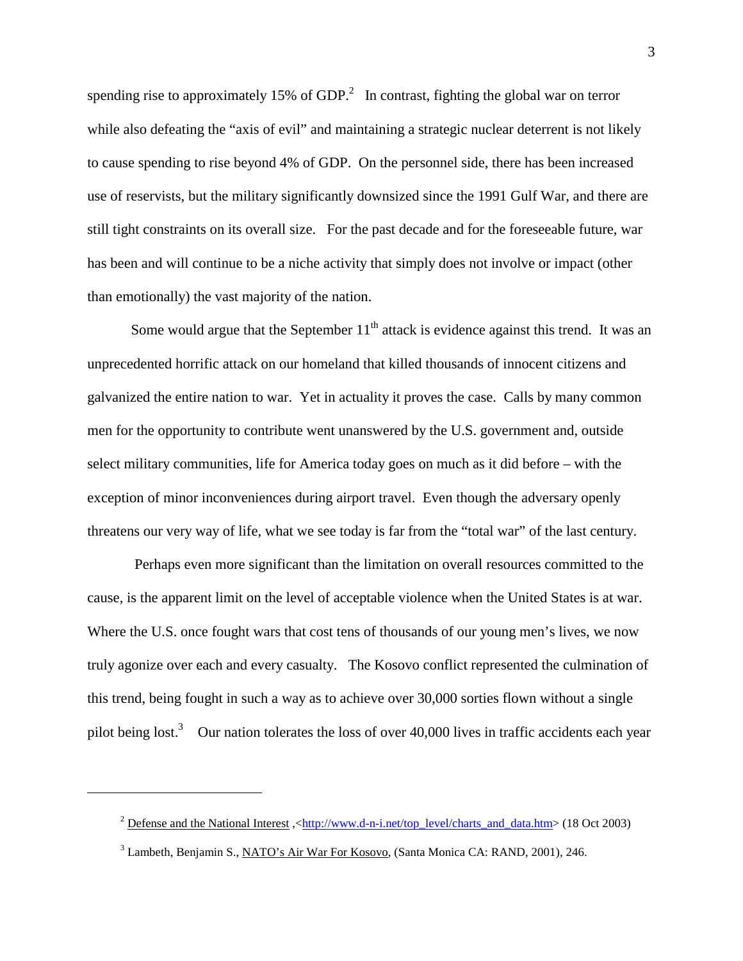spending rise to approximately 15% of GDP.<sup>2</sup> In contrast, fighting the global war on terror while also defeating the "axis of evil" and maintaining a strategic nuclear deterrent is not likely to cause spending to rise beyond 4% of GDP. On the personnel side, there has been increased use of reservists, but the military significantly downsized since the 1991 Gulf War, and there are still tight constraints on its overall size. For the past decade and for the foreseeable future, war has been and will continue to be a niche activity that simply does not involve or impact (other than emotionally) the vast majority of the nation.

Some would argue that the September  $11<sup>th</sup>$  attack is evidence against this trend. It was an unprecedented horrific attack on our homeland that killed thousands of innocent citizens and galvanized the entire nation to war. Yet in actuality it proves the case. Calls by many common men for the opportunity to contribute went unanswered by the U.S. government and, outside select military communities, life for America today goes on much as it did before – with the exception of minor inconveniences during airport travel. Even though the adversary openly threatens our very way of life, what we see today is far from the "total war" of the last century.

 Perhaps even more significant than the limitation on overall resources committed to the cause, is the apparent limit on the level of acceptable violence when the United States is at war. Where the U.S. once fought wars that cost tens of thousands of our young men's lives, we now truly agonize over each and every casualty. The Kosovo conflict represented the culmination of this trend, being fought in such a way as to achieve over 30,000 sorties flown without a single pilot being lost.<sup>3</sup> Our nation tolerates the loss of over 40,000 lives in traffic accidents each year

 $\overline{a}$ 

<sup>&</sup>lt;sup>2</sup> Defense and the National Interest,  $\frac{\text{http://www.d-n-inet/top level/charts}}{\text{http://www.d-n-inet/top level/charts}}$  and data.htm> (18 Oct 2003)

<sup>&</sup>lt;sup>3</sup> Lambeth, Benjamin S., NATO's Air War For Kosovo, (Santa Monica CA: RAND, 2001), 246.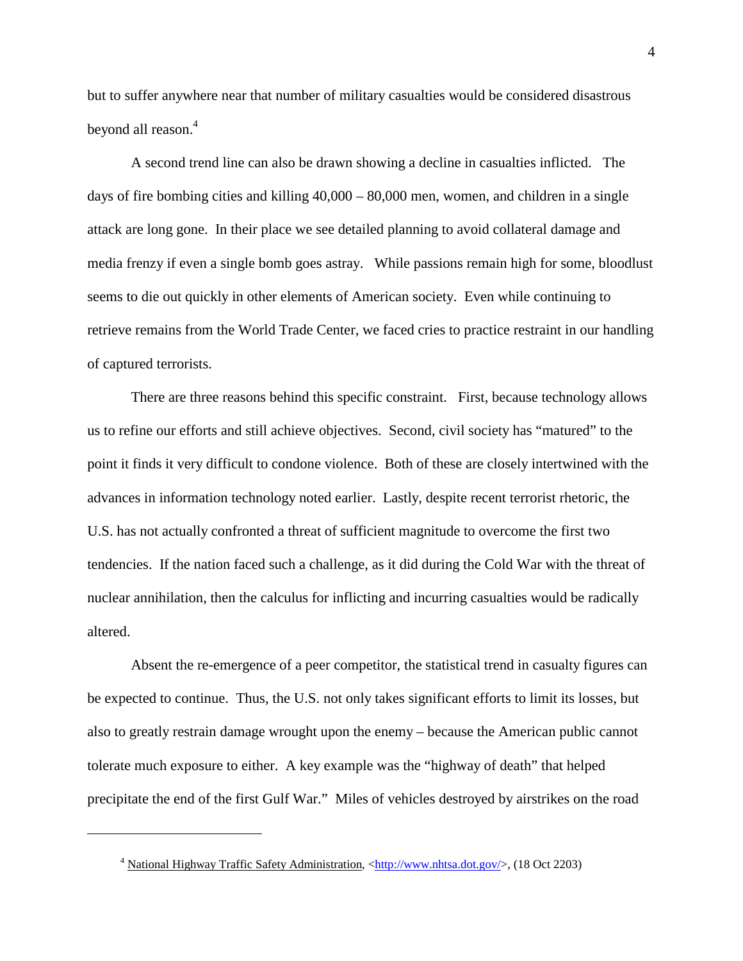but to suffer anywhere near that number of military casualties would be considered disastrous beyond all reason.<sup>4</sup>

A second trend line can also be drawn showing a decline in casualties inflicted. The days of fire bombing cities and killing  $40,000 - 80,000$  men, women, and children in a single attack are long gone. In their place we see detailed planning to avoid collateral damage and media frenzy if even a single bomb goes astray. While passions remain high for some, bloodlust seems to die out quickly in other elements of American society. Even while continuing to retrieve remains from the World Trade Center, we faced cries to practice restraint in our handling of captured terrorists.

There are three reasons behind this specific constraint. First, because technology allows us to refine our efforts and still achieve objectives. Second, civil society has "matured" to the point it finds it very difficult to condone violence. Both of these are closely intertwined with the advances in information technology noted earlier. Lastly, despite recent terrorist rhetoric, the U.S. has not actually confronted a threat of sufficient magnitude to overcome the first two tendencies. If the nation faced such a challenge, as it did during the Cold War with the threat of nuclear annihilation, then the calculus for inflicting and incurring casualties would be radically altered.

Absent the re-emergence of a peer competitor, the statistical trend in casualty figures can be expected to continue. Thus, the U.S. not only takes significant efforts to limit its losses, but also to greatly restrain damage wrought upon the enemy – because the American public cannot tolerate much exposure to either. A key example was the "highway of death" that helped precipitate the end of the first Gulf War." Miles of vehicles destroyed by airstrikes on the road

<u>.</u>

<sup>&</sup>lt;sup>4</sup> National Highway Traffic Safety Administration, <http://www.nhtsa.dot.gov/>, (18 Oct 2203)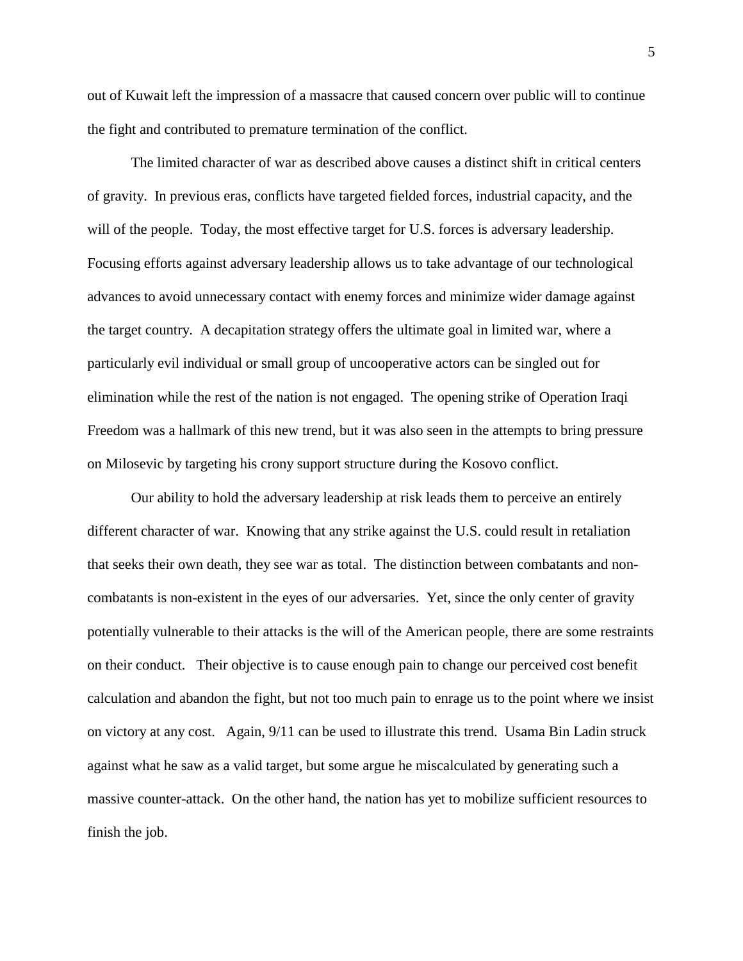out of Kuwait left the impression of a massacre that caused concern over public will to continue the fight and contributed to premature termination of the conflict.

The limited character of war as described above causes a distinct shift in critical centers of gravity. In previous eras, conflicts have targeted fielded forces, industrial capacity, and the will of the people. Today, the most effective target for U.S. forces is adversary leadership. Focusing efforts against adversary leadership allows us to take advantage of our technological advances to avoid unnecessary contact with enemy forces and minimize wider damage against the target country. A decapitation strategy offers the ultimate goal in limited war, where a particularly evil individual or small group of uncooperative actors can be singled out for elimination while the rest of the nation is not engaged. The opening strike of Operation Iraqi Freedom was a hallmark of this new trend, but it was also seen in the attempts to bring pressure on Milosevic by targeting his crony support structure during the Kosovo conflict.

Our ability to hold the adversary leadership at risk leads them to perceive an entirely different character of war. Knowing that any strike against the U.S. could result in retaliation that seeks their own death, they see war as total. The distinction between combatants and noncombatants is non-existent in the eyes of our adversaries. Yet, since the only center of gravity potentially vulnerable to their attacks is the will of the American people, there are some restraints on their conduct. Their objective is to cause enough pain to change our perceived cost benefit calculation and abandon the fight, but not too much pain to enrage us to the point where we insist on victory at any cost. Again, 9/11 can be used to illustrate this trend. Usama Bin Ladin struck against what he saw as a valid target, but some argue he miscalculated by generating such a massive counter-attack. On the other hand, the nation has yet to mobilize sufficient resources to finish the job.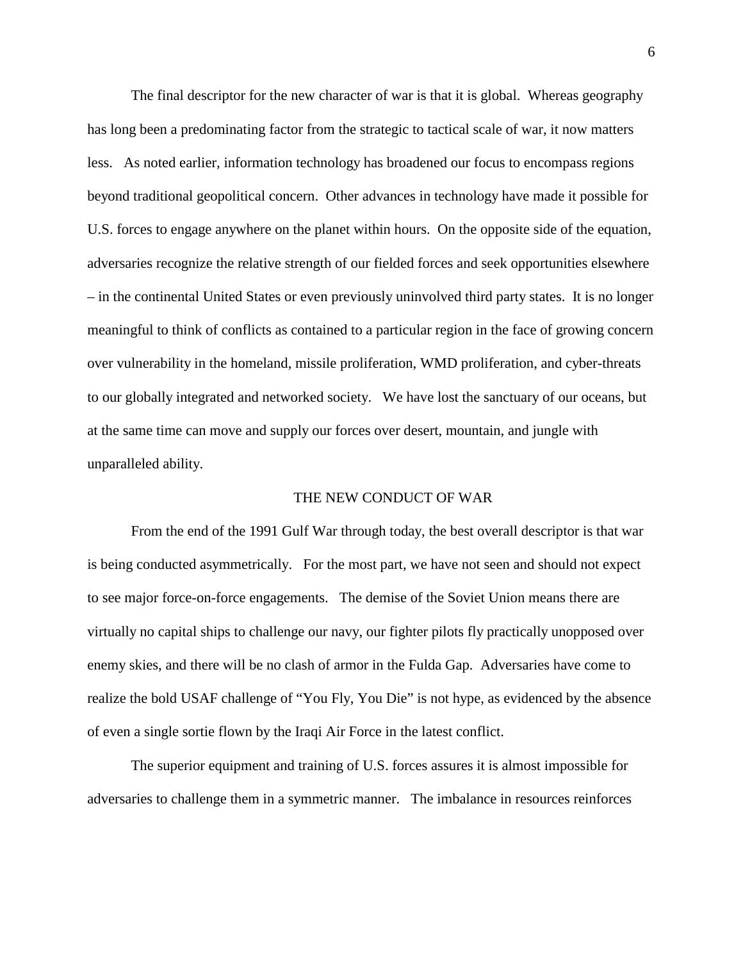The final descriptor for the new character of war is that it is global. Whereas geography has long been a predominating factor from the strategic to tactical scale of war, it now matters less. As noted earlier, information technology has broadened our focus to encompass regions beyond traditional geopolitical concern. Other advances in technology have made it possible for U.S. forces to engage anywhere on the planet within hours. On the opposite side of the equation, adversaries recognize the relative strength of our fielded forces and seek opportunities elsewhere – in the continental United States or even previously uninvolved third party states. It is no longer meaningful to think of conflicts as contained to a particular region in the face of growing concern over vulnerability in the homeland, missile proliferation, WMD proliferation, and cyber-threats to our globally integrated and networked society. We have lost the sanctuary of our oceans, but at the same time can move and supply our forces over desert, mountain, and jungle with unparalleled ability.

#### THE NEW CONDUCT OF WAR

From the end of the 1991 Gulf War through today, the best overall descriptor is that war is being conducted asymmetrically. For the most part, we have not seen and should not expect to see major force-on-force engagements. The demise of the Soviet Union means there are virtually no capital ships to challenge our navy, our fighter pilots fly practically unopposed over enemy skies, and there will be no clash of armor in the Fulda Gap. Adversaries have come to realize the bold USAF challenge of "You Fly, You Die" is not hype, as evidenced by the absence of even a single sortie flown by the Iraqi Air Force in the latest conflict.

The superior equipment and training of U.S. forces assures it is almost impossible for adversaries to challenge them in a symmetric manner. The imbalance in resources reinforces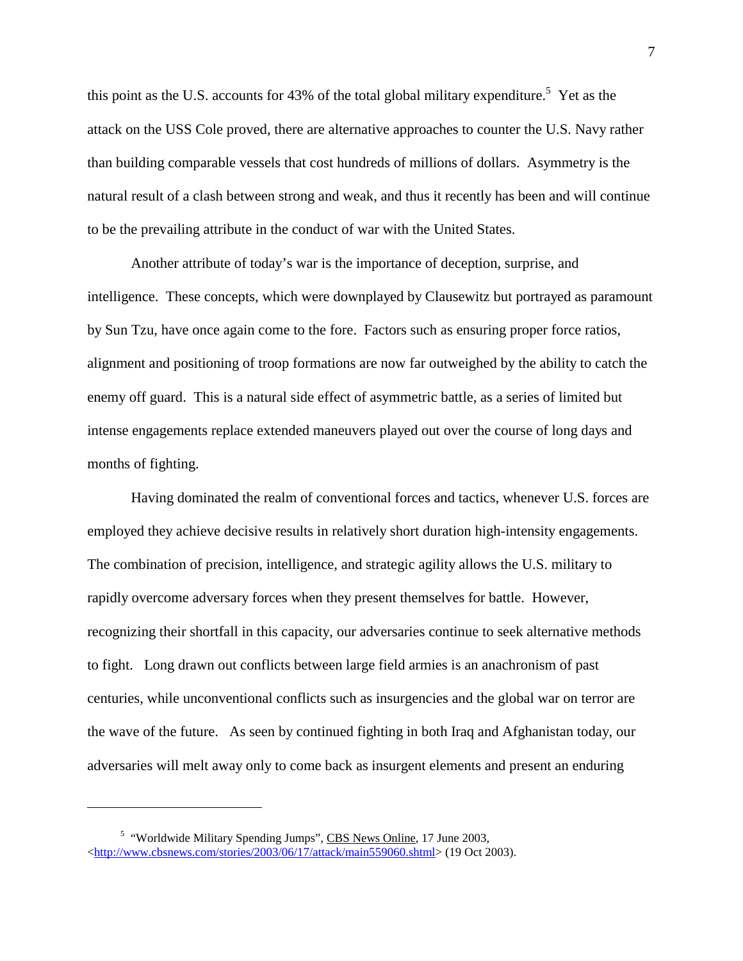this point as the U.S. accounts for 43% of the total global military expenditure.<sup>5</sup> Yet as the attack on the USS Cole proved, there are alternative approaches to counter the U.S. Navy rather than building comparable vessels that cost hundreds of millions of dollars. Asymmetry is the natural result of a clash between strong and weak, and thus it recently has been and will continue to be the prevailing attribute in the conduct of war with the United States.

Another attribute of today's war is the importance of deception, surprise, and intelligence. These concepts, which were downplayed by Clausewitz but portrayed as paramount by Sun Tzu, have once again come to the fore. Factors such as ensuring proper force ratios, alignment and positioning of troop formations are now far outweighed by the ability to catch the enemy off guard. This is a natural side effect of asymmetric battle, as a series of limited but intense engagements replace extended maneuvers played out over the course of long days and months of fighting.

Having dominated the realm of conventional forces and tactics, whenever U.S. forces are employed they achieve decisive results in relatively short duration high-intensity engagements. The combination of precision, intelligence, and strategic agility allows the U.S. military to rapidly overcome adversary forces when they present themselves for battle. However, recognizing their shortfall in this capacity, our adversaries continue to seek alternative methods to fight. Long drawn out conflicts between large field armies is an anachronism of past centuries, while unconventional conflicts such as insurgencies and the global war on terror are the wave of the future. As seen by continued fighting in both Iraq and Afghanistan today, our adversaries will melt away only to come back as insurgent elements and present an enduring

<u>.</u>

<sup>&</sup>lt;sup>5</sup> "Worldwide Military Spending Jumps", CBS News Online, 17 June 2003,  $\lt$ http://www.cbsnews.com/stories/2003/06/17/attack/main559060.shtml> (19 Oct 2003).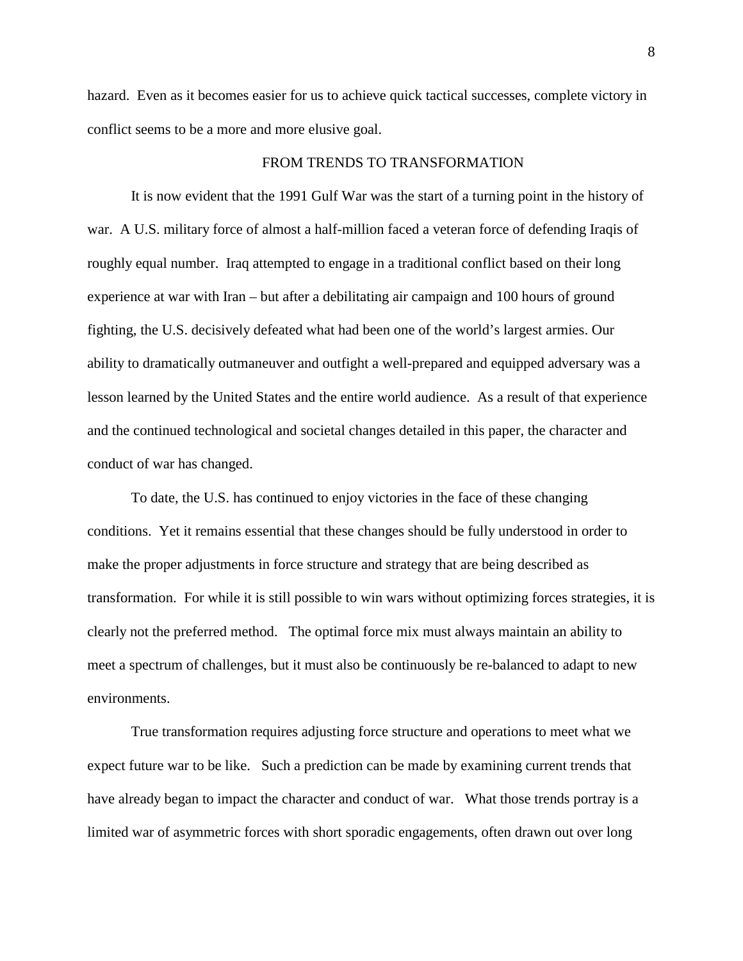hazard. Even as it becomes easier for us to achieve quick tactical successes, complete victory in conflict seems to be a more and more elusive goal.

#### FROM TRENDS TO TRANSFORMATION

It is now evident that the 1991 Gulf War was the start of a turning point in the history of war. A U.S. military force of almost a half-million faced a veteran force of defending Iraqis of roughly equal number. Iraq attempted to engage in a traditional conflict based on their long experience at war with Iran – but after a debilitating air campaign and 100 hours of ground fighting, the U.S. decisively defeated what had been one of the world's largest armies. Our ability to dramatically outmaneuver and outfight a well-prepared and equipped adversary was a lesson learned by the United States and the entire world audience. As a result of that experience and the continued technological and societal changes detailed in this paper, the character and conduct of war has changed.

To date, the U.S. has continued to enjoy victories in the face of these changing conditions. Yet it remains essential that these changes should be fully understood in order to make the proper adjustments in force structure and strategy that are being described as transformation. For while it is still possible to win wars without optimizing forces strategies, it is clearly not the preferred method. The optimal force mix must always maintain an ability to meet a spectrum of challenges, but it must also be continuously be re-balanced to adapt to new environments.

True transformation requires adjusting force structure and operations to meet what we expect future war to be like. Such a prediction can be made by examining current trends that have already began to impact the character and conduct of war. What those trends portray is a limited war of asymmetric forces with short sporadic engagements, often drawn out over long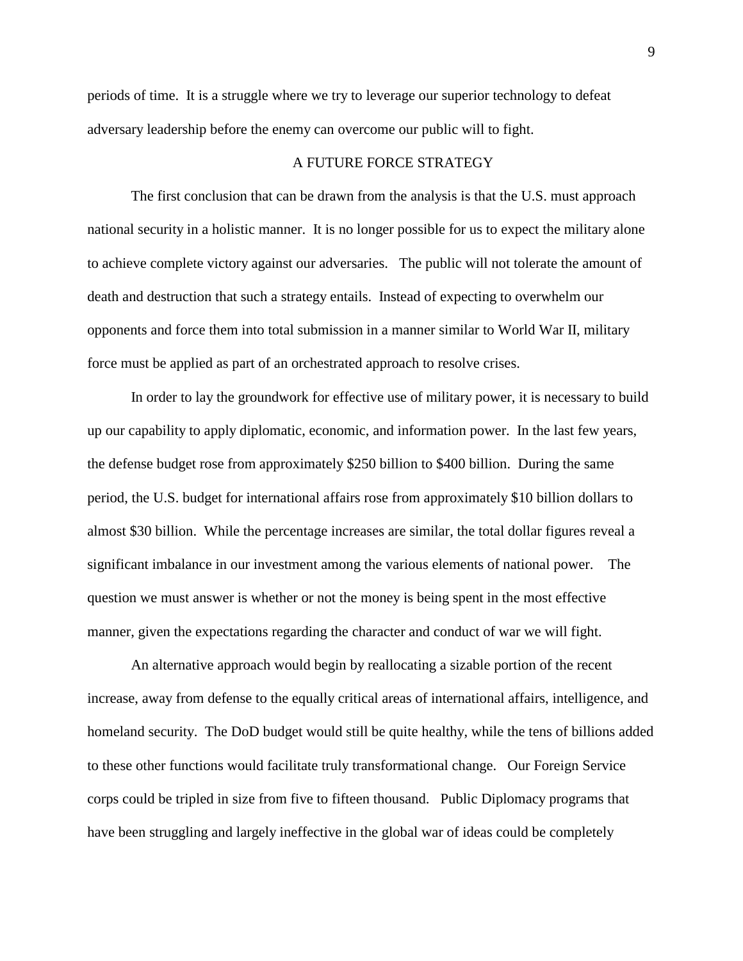periods of time. It is a struggle where we try to leverage our superior technology to defeat adversary leadership before the enemy can overcome our public will to fight.

## A FUTURE FORCE STRATEGY

The first conclusion that can be drawn from the analysis is that the U.S. must approach national security in a holistic manner. It is no longer possible for us to expect the military alone to achieve complete victory against our adversaries. The public will not tolerate the amount of death and destruction that such a strategy entails. Instead of expecting to overwhelm our opponents and force them into total submission in a manner similar to World War II, military force must be applied as part of an orchestrated approach to resolve crises.

In order to lay the groundwork for effective use of military power, it is necessary to build up our capability to apply diplomatic, economic, and information power. In the last few years, the defense budget rose from approximately \$250 billion to \$400 billion. During the same period, the U.S. budget for international affairs rose from approximately \$10 billion dollars to almost \$30 billion. While the percentage increases are similar, the total dollar figures reveal a significant imbalance in our investment among the various elements of national power. The question we must answer is whether or not the money is being spent in the most effective manner, given the expectations regarding the character and conduct of war we will fight.

An alternative approach would begin by reallocating a sizable portion of the recent increase, away from defense to the equally critical areas of international affairs, intelligence, and homeland security. The DoD budget would still be quite healthy, while the tens of billions added to these other functions would facilitate truly transformational change. Our Foreign Service corps could be tripled in size from five to fifteen thousand. Public Diplomacy programs that have been struggling and largely ineffective in the global war of ideas could be completely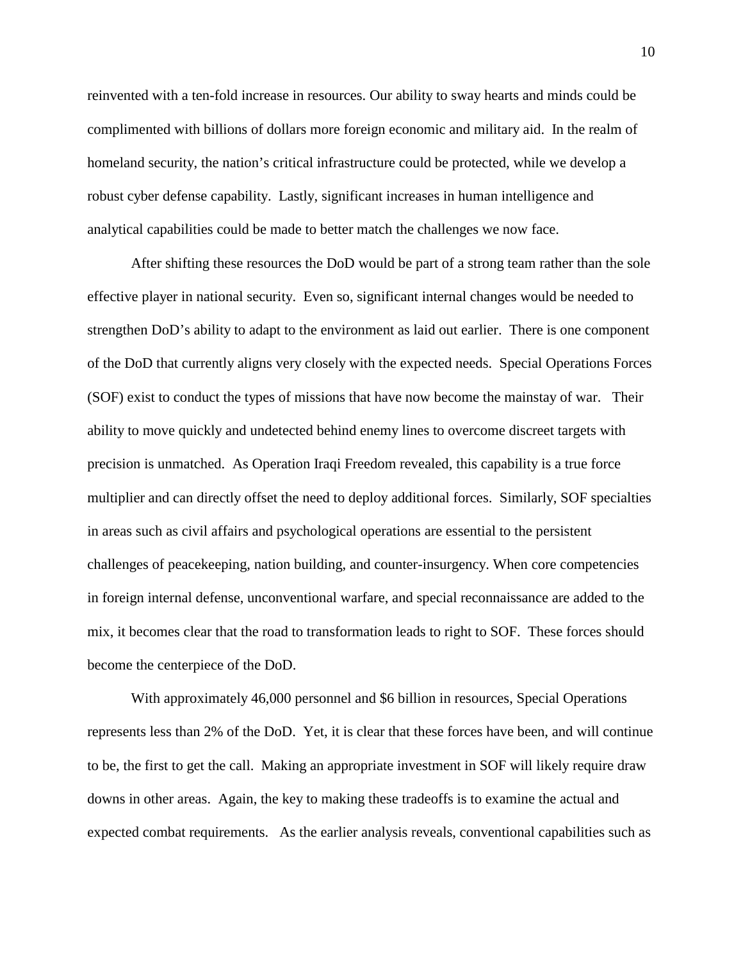reinvented with a ten-fold increase in resources. Our ability to sway hearts and minds could be complimented with billions of dollars more foreign economic and military aid. In the realm of homeland security, the nation's critical infrastructure could be protected, while we develop a robust cyber defense capability. Lastly, significant increases in human intelligence and analytical capabilities could be made to better match the challenges we now face.

After shifting these resources the DoD would be part of a strong team rather than the sole effective player in national security. Even so, significant internal changes would be needed to strengthen DoD's ability to adapt to the environment as laid out earlier. There is one component of the DoD that currently aligns very closely with the expected needs. Special Operations Forces (SOF) exist to conduct the types of missions that have now become the mainstay of war. Their ability to move quickly and undetected behind enemy lines to overcome discreet targets with precision is unmatched. As Operation Iraqi Freedom revealed, this capability is a true force multiplier and can directly offset the need to deploy additional forces. Similarly, SOF specialties in areas such as civil affairs and psychological operations are essential to the persistent challenges of peacekeeping, nation building, and counter-insurgency. When core competencies in foreign internal defense, unconventional warfare, and special reconnaissance are added to the mix, it becomes clear that the road to transformation leads to right to SOF. These forces should become the centerpiece of the DoD.

With approximately 46,000 personnel and \$6 billion in resources, Special Operations represents less than 2% of the DoD. Yet, it is clear that these forces have been, and will continue to be, the first to get the call. Making an appropriate investment in SOF will likely require draw downs in other areas. Again, the key to making these tradeoffs is to examine the actual and expected combat requirements. As the earlier analysis reveals, conventional capabilities such as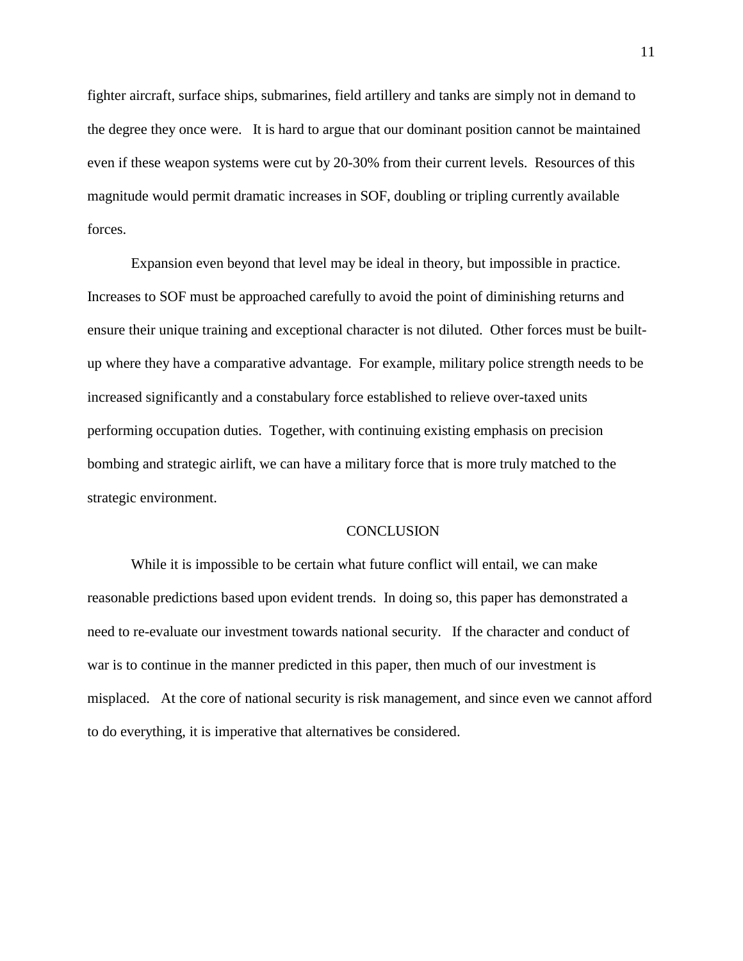fighter aircraft, surface ships, submarines, field artillery and tanks are simply not in demand to the degree they once were. It is hard to argue that our dominant position cannot be maintained even if these weapon systems were cut by 20-30% from their current levels. Resources of this magnitude would permit dramatic increases in SOF, doubling or tripling currently available forces.

Expansion even beyond that level may be ideal in theory, but impossible in practice. Increases to SOF must be approached carefully to avoid the point of diminishing returns and ensure their unique training and exceptional character is not diluted. Other forces must be builtup where they have a comparative advantage. For example, military police strength needs to be increased significantly and a constabulary force established to relieve over-taxed units performing occupation duties. Together, with continuing existing emphasis on precision bombing and strategic airlift, we can have a military force that is more truly matched to the strategic environment.

#### **CONCLUSION**

While it is impossible to be certain what future conflict will entail, we can make reasonable predictions based upon evident trends. In doing so, this paper has demonstrated a need to re-evaluate our investment towards national security. If the character and conduct of war is to continue in the manner predicted in this paper, then much of our investment is misplaced. At the core of national security is risk management, and since even we cannot afford to do everything, it is imperative that alternatives be considered.